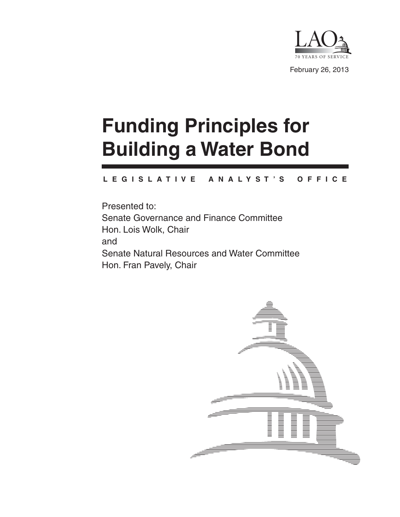

# **Funding Principles for Building a Water Bond**

#### **L E G I S L A T I V E A N A L Y S T ' S O F F I C E**

Presented to: Senate Governance and Finance Committee Hon. Lois Wolk, Chair and Senate Natural Resources and Water Committee Hon. Fran Pavely, Chair

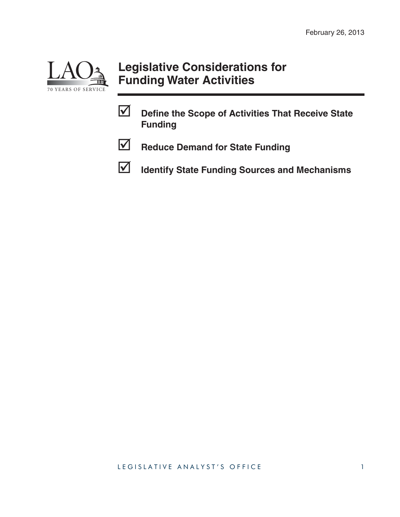

## **Legislative Considerations for Funding Water Activities**

**Define the Scope of Activities That Receive State Funding**



**Reduce Demand for State Funding** 

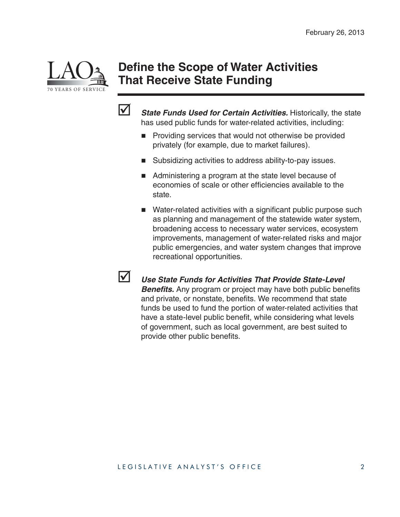

#### **Define the Scope of Water Activities That Receive State Funding**



**State Funds Used for Certain Activities.** Historically, the state has used public funds for water-related activities, including:

- **Providing services that would not otherwise be provided** privately (for example, due to market failures).
- Subsidizing activities to address ability-to-pay issues.
- Administering a program at the state level because of economies of scale or other efficiencies available to the state.
- $\blacksquare$  Water-related activities with a significant public purpose such as planning and management of the statewide water system, broadening access to necessary water services, ecosystem improvements, management of water-related risks and major public emergencies, and water system changes that improve recreational opportunities.



 *Use State Funds for Activities That Provide State-Level*  **Benefits.** Any program or project may have both public benefits and private, or nonstate, benefits. We recommend that state funds be used to fund the portion of water-related activities that have a state-level public benefit, while considering what levels of government, such as local government, are best suited to provide other public benefits.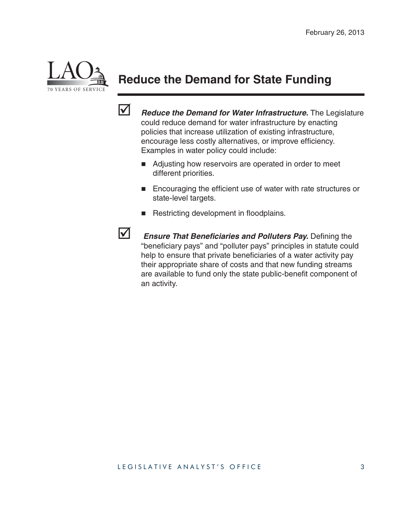

# **Reduce the Demand for State Funding**



*Reduce the Demand for Water Infrastructure.* The Legislature could reduce demand for water infrastructure by enacting policies that increase utilization of existing infrastructure, encourage less costly alternatives, or improve efficiency. Examples in water policy could include:

- Adjusting how reservoirs are operated in order to meet different priorities.
- **Encouraging the efficient use of water with rate structures or** state-level targets.
- Restricting development in floodplains.



**Ensure That Beneficiaries and Polluters Pay.** Defining the "beneficiary pays" and "polluter pays" principles in statute could help to ensure that private beneficiaries of a water activity pay their appropriate share of costs and that new funding streams are available to fund only the state public-benefit component of an activity.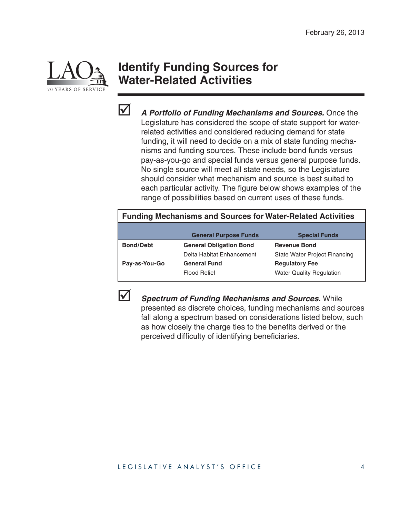

## **Identify Funding Sources for Water-Related Activities**



 *A Portfolio of Funding Mechanisms and Sources.* Once the Legislature has considered the scope of state support for waterrelated activities and considered reducing demand for state funding, it will need to decide on a mix of state funding mechanisms and funding sources. These include bond funds versus pay-as-you-go and special funds versus general purpose funds. No single source will meet all state needs, so the Legislature should consider what mechanism and source is best suited to each particular activity. The figure below shows examples of the range of possibilities based on current uses of these funds.

#### **Funding Mechanisms and Sources for Water-Related Activities**

|                  | <b>General Purpose Funds</b>   | <b>Special Funds</b>                 |
|------------------|--------------------------------|--------------------------------------|
| <b>Bond/Debt</b> | <b>General Obligation Bond</b> | <b>Revenue Bond</b>                  |
|                  | Delta Habitat Enhancement      | <b>State Water Project Financing</b> |
| Pay-as-You-Go    | <b>General Fund</b>            | <b>Regulatory Fee</b>                |
|                  | <b>Flood Relief</b>            | <b>Water Quality Regulation</b>      |



 *Spectrum of Funding Mechanisms and Sources.* While presented as discrete choices, funding mechanisms and sources fall along a spectrum based on considerations listed below, such as how closely the charge ties to the benefits derived or the perceived difficulty of identifying beneficiaries.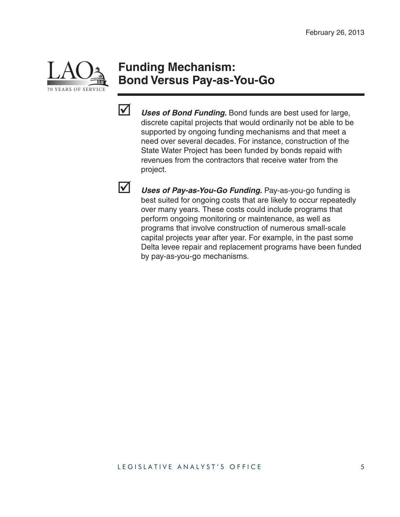

#### **Funding Mechanism: Bond Versus Pay-as-You-Go**



**V** Uses of Bond Funding. Bond funds are best used for large, discrete capital projects that would ordinarily not be able to be supported by ongoing funding mechanisms and that meet a need over several decades. For instance, construction of the State Water Project has been funded by bonds repaid with revenues from the contractors that receive water from the project.

 *Uses of Pay-as-You-Go Funding.* Pay-as-you-go funding is best suited for ongoing costs that are likely to occur repeatedly over many years. These costs could include programs that perform ongoing monitoring or maintenance, as well as programs that involve construction of numerous small-scale capital projects year after year. For example, in the past some Delta levee repair and replacement programs have been funded by pay-as-you-go mechanisms.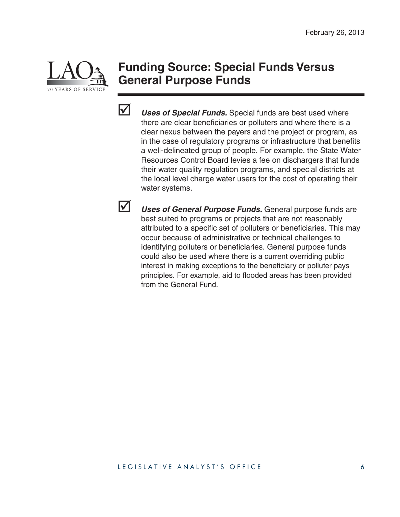

#### **Funding Source: Special Funds Versus General Purpose Funds**



 *Uses of Special Funds.* Special funds are best used where there are clear beneficiaries or polluters and where there is a clear nexus between the payers and the project or program, as in the case of regulatory programs or infrastructure that benefits a well-delineated group of people. For example, the State Water Resources Control Board levies a fee on dischargers that funds their water quality regulation programs, and special districts at the local level charge water users for the cost of operating their water systems.

 *Uses of General Purpose Funds.* General purpose funds are best suited to programs or projects that are not reasonably attributed to a specific set of polluters or beneficiaries. This may occur because of administrative or technical challenges to identifying polluters or beneficiaries. General purpose funds could also be used where there is a current overriding public interest in making exceptions to the beneficiary or polluter pays principles. For example, aid to flooded areas has been provided from the General Fund.